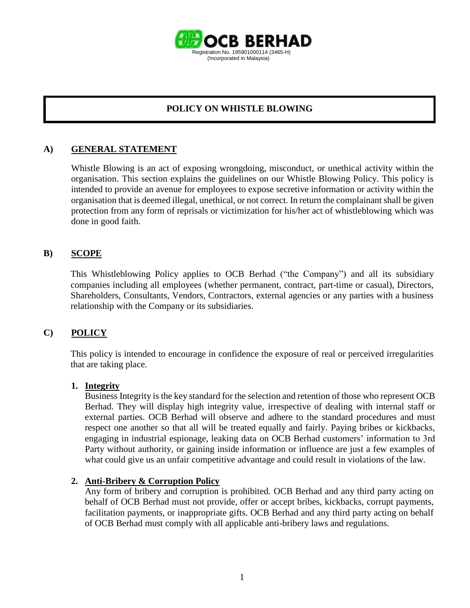

## **POLICY ON WHISTLE BLOWING**

### **A) GENERAL STATEMENT**

Whistle Blowing is an act of exposing wrongdoing, misconduct, or unethical activity within the organisation. This section explains the guidelines on our Whistle Blowing Policy. This policy is intended to provide an avenue for employees to expose secretive information or activity within the organisation that is deemed illegal, unethical, or not correct. In return the complainant shall be given protection from any form of reprisals or victimization for his/her act of whistleblowing which was done in good faith.

### **B) SCOPE**

This Whistleblowing Policy applies to OCB Berhad ("the Company") and all its subsidiary companies including all employees (whether permanent, contract, part-time or casual), Directors, Shareholders, Consultants, Vendors, Contractors, external agencies or any parties with a business relationship with the Company or its subsidiaries.

#### **C) POLICY**

This policy is intended to encourage in confidence the exposure of real or perceived irregularities that are taking place.

#### **1. Integrity**

Business Integrity is the key standard for the selection and retention of those who represent OCB Berhad. They will display high integrity value, irrespective of dealing with internal staff or external parties. OCB Berhad will observe and adhere to the standard procedures and must respect one another so that all will be treated equally and fairly. Paying bribes or kickbacks, engaging in industrial espionage, leaking data on OCB Berhad customers' information to 3rd Party without authority, or gaining inside information or influence are just a few examples of what could give us an unfair competitive advantage and could result in violations of the law.

#### **2. Anti-Bribery & Corruption Policy**

Any form of bribery and corruption is prohibited. OCB Berhad and any third party acting on behalf of OCB Berhad must not provide, offer or accept bribes, kickbacks, corrupt payments, facilitation payments, or inappropriate gifts. OCB Berhad and any third party acting on behalf of OCB Berhad must comply with all applicable anti-bribery laws and regulations.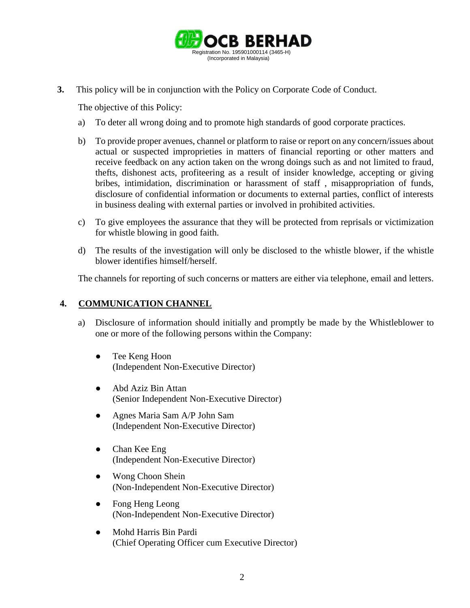

**3.** This policy will be in conjunction with the Policy on Corporate Code of Conduct.

The objective of this Policy:

- a) To deter all wrong doing and to promote high standards of good corporate practices.
- b) To provide proper avenues, channel or platform to raise or report on any concern/issues about actual or suspected improprieties in matters of financial reporting or other matters and receive feedback on any action taken on the wrong doings such as and not limited to fraud, thefts, dishonest acts, profiteering as a result of insider knowledge, accepting or giving bribes, intimidation, discrimination or harassment of staff , misappropriation of funds, disclosure of confidential information or documents to external parties, conflict of interests in business dealing with external parties or involved in prohibited activities.
- c) To give employees the assurance that they will be protected from reprisals or victimization for whistle blowing in good faith.
- d) The results of the investigation will only be disclosed to the whistle blower, if the whistle blower identifies himself/herself.

The channels for reporting of such concerns or matters are either via telephone, email and letters.

## **4. COMMUNICATION CHANNEL**

- a) Disclosure of information should initially and promptly be made by the Whistleblower to one or more of the following persons within the Company:
	- Tee Keng Hoon (Independent Non-Executive Director)
	- Abd Aziz Bin Attan (Senior Independent Non-Executive Director)
	- Agnes Maria Sam A/P John Sam (Independent Non-Executive Director)
	- Chan Kee Eng (Independent Non-Executive Director)
	- Wong Choon Shein (Non-Independent Non-Executive Director)
	- Fong Heng Leong (Non-Independent Non-Executive Director)
	- Mohd Harris Bin Pardi (Chief Operating Officer cum Executive Director)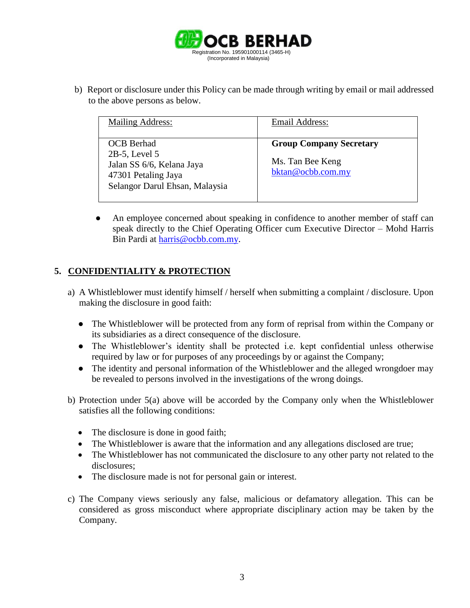

b) Report or disclosure under this Policy can be made through writing by email or mail addressed to the above persons as below.

| <b>Mailing Address:</b>                                                                                                     | Email Address:                                                          |
|-----------------------------------------------------------------------------------------------------------------------------|-------------------------------------------------------------------------|
| <b>OCB</b> Berhad<br>$2B-5$ , Level 5<br>Jalan SS 6/6, Kelana Jaya<br>47301 Petaling Jaya<br>Selangor Darul Ehsan, Malaysia | <b>Group Company Secretary</b><br>Ms. Tan Bee Keng<br>bktan@ocbb.com.my |

An employee concerned about speaking in confidence to another member of staff can speak directly to the Chief Operating Officer cum Executive Director – Mohd Harris Bin Pardi at [harris@ocbb.com.my.](mailto:harris@ocbb.com.my)

# **5. CONFIDENTIALITY & PROTECTION**

- a) A Whistleblower must identify himself / herself when submitting a complaint / disclosure. Upon making the disclosure in good faith:
	- The Whistleblower will be protected from any form of reprisal from within the Company or its subsidiaries as a direct consequence of the disclosure.
	- The Whistleblower's identity shall be protected i.e. kept confidential unless otherwise required by law or for purposes of any proceedings by or against the Company;
	- The identity and personal information of the Whistleblower and the alleged wrongdoer may be revealed to persons involved in the investigations of the wrong doings.
- b) Protection under 5(a) above will be accorded by the Company only when the Whistleblower satisfies all the following conditions:
	- The disclosure is done in good faith;
	- The Whistleblower is aware that the information and any allegations disclosed are true;
	- The Whistleblower has not communicated the disclosure to any other party not related to the disclosures;
	- The disclosure made is not for personal gain or interest.
- c) The Company views seriously any false, malicious or defamatory allegation. This can be considered as gross misconduct where appropriate disciplinary action may be taken by the Company.